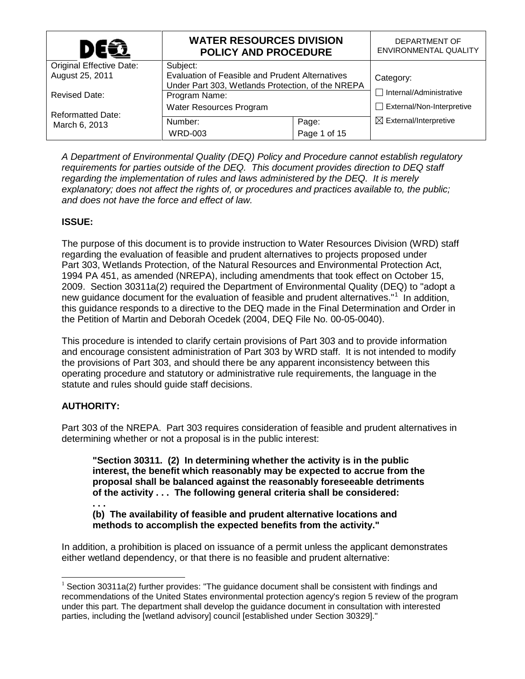| DE�                      | <b>WATER RESOURCES DIVISION</b><br><b>POLICY AND PROCEDURE</b>                                       |              | DEPARTMENT OF<br>ENVIRONMENTAL QUALITY |
|--------------------------|------------------------------------------------------------------------------------------------------|--------------|----------------------------------------|
| Original Effective Date: | Subject:                                                                                             |              |                                        |
| August 25, 2011          | Evaluation of Feasible and Prudent Alternatives<br>Under Part 303, Wetlands Protection, of the NREPA |              | Category:                              |
| <b>Revised Date:</b>     | Program Name:                                                                                        |              | $\Box$ Internal/Administrative         |
| <b>Reformatted Date:</b> | Water Resources Program                                                                              |              | $\Box$ External/Non-Interpretive       |
| March 6, 2013            | Number:                                                                                              | Page:        | $\boxtimes$ External/Interpretive      |
|                          | <b>WRD-003</b>                                                                                       | Page 1 of 15 |                                        |

*A Department of Environmental Quality (DEQ) Policy and Procedure cannot establish regulatory requirements for parties outside of the DEQ. This document provides direction to DEQ staff regarding the implementation of rules and laws administered by the DEQ. It is merely explanatory; does not affect the rights of, or procedures and practices available to, the public; and does not have the force and effect of law.*

# **ISSUE:**

The purpose of this document is to provide instruction to Water Resources Division (WRD) staff regarding the evaluation of feasible and prudent alternatives to projects proposed under Part 303, Wetlands Protection, of the Natural Resources and Environmental Protection Act, 1994 PA 451, as amended (NREPA), including amendments that took effect on October 15, 2009. Section 30311a(2) required the Department of Environmental Quality (DEQ) to "adopt a new guidance document for the evaluation of feasible and prudent alternatives."<sup>[1](#page-0-0)</sup> In addition, this guidance responds to a directive to the DEQ made in the Final Determination and Order in the Petition of Martin and Deborah Ocedek (2004, DEQ File No. 00-05-0040).

This procedure is intended to clarify certain provisions of Part 303 and to provide information and encourage consistent administration of Part 303 by WRD staff. It is not intended to modify the provisions of Part 303, and should there be any apparent inconsistency between this operating procedure and statutory or administrative rule requirements, the language in the statute and rules should guide staff decisions.

# **AUTHORITY:**

Part 303 of the NREPA. Part 303 requires consideration of feasible and prudent alternatives in determining whether or not a proposal is in the public interest:

**"Section 30311. (2) In determining whether the activity is in the public interest, the benefit which reasonably may be expected to accrue from the proposal shall be balanced against the reasonably foreseeable detriments of the activity . . . The following general criteria shall be considered:**

**. . . (b) The availability of feasible and prudent alternative locations and methods to accomplish the expected benefits from the activity."** 

In addition, a prohibition is placed on issuance of a permit unless the applicant demonstrates either wetland dependency, or that there is no feasible and prudent alternative:

<span id="page-0-1"></span><span id="page-0-0"></span> $1$  Section 30311a(2) further provides: "The guidance document shall be consistent with findings and recommendations of the United States environmental protection agency's region 5 review of the program under this part. The department shall develop the guidance document in consultation with interested parties, including the [wetland advisory] council [established under Section 30329]."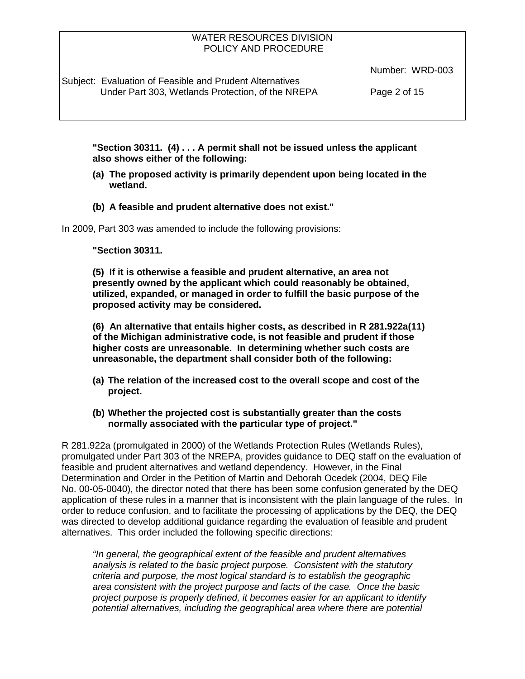Subject: Evaluation of Feasible and Prudent Alternatives Under Part 303, Wetlands Protection, of the NREPA Page 2 of 15

Number: WRD-003

**"Section 30311. (4) . . . A permit shall not be issued unless the applicant also shows either of the following:**

- **(a) The proposed activity is primarily dependent upon being located in the wetland.**
- **(b) A feasible and prudent alternative does not exist."**

In 2009, Part 303 was amended to include the following provisions:

#### **"Section 30311.**

**(5) If it is otherwise a feasible and prudent alternative, an area not presently owned by the applicant which could reasonably be obtained, utilized, expanded, or managed in order to fulfill the basic purpose of the proposed activity may be considered.**

**(6) An alternative that entails higher costs, as described in R 281.922a(11) of the Michigan administrative code, is not feasible and prudent if those higher costs are unreasonable. In determining whether such costs are unreasonable, the department shall consider both of the following:**

- **(a) The relation of the increased cost to the overall scope and cost of the project.**
- **(b) Whether the projected cost is substantially greater than the costs normally associated with the particular type of project."**

R 281.922a (promulgated in 2000) of the Wetlands Protection Rules (Wetlands Rules), promulgated under Part 303 of the NREPA, provides guidance to DEQ staff on the evaluation of feasible and prudent alternatives and wetland dependency. However, in the Final Determination and Order in the Petition of Martin and Deborah Ocedek (2004, DEQ File No. 00-05-0040), the director noted that there has been some confusion generated by the DEQ application of these rules in a manner that is inconsistent with the plain language of the rules. In order to reduce confusion, and to facilitate the processing of applications by the DEQ, the DEQ was directed to develop additional guidance regarding the evaluation of feasible and prudent alternatives. This order included the following specific directions:

*"In general, the geographical extent of the feasible and prudent alternatives analysis is related to the basic project purpose. Consistent with the statutory criteria and purpose, the most logical standard is to establish the geographic area consistent with the project purpose and facts of the case. Once the basic project purpose is properly defined, it becomes easier for an applicant to identify potential alternatives, including the geographical area where there are potential*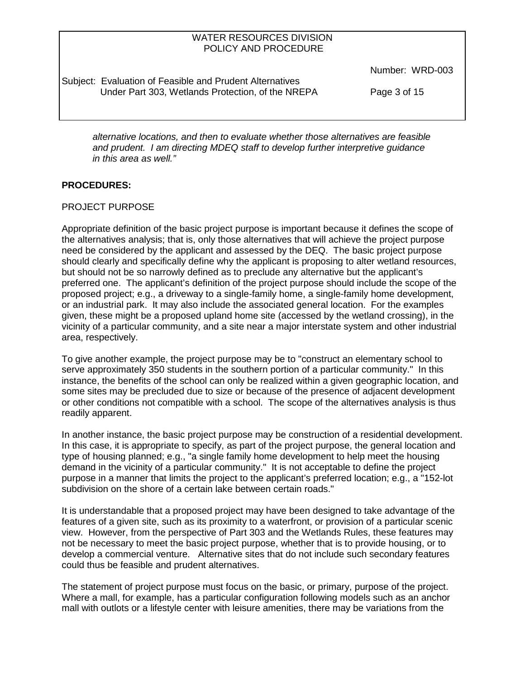Subject: Evaluation of Feasible and Prudent Alternatives Under Part 303, Wetlands Protection, of the NREPA Page 3 of 15

Number: WRD-003

*alternative locations, and then to evaluate whether those alternatives are feasible and prudent. I am directing MDEQ staff to develop further interpretive guidance in this area as well."*

# **PROCEDURES:**

#### PROJECT PURPOSE

Appropriate definition of the basic project purpose is important because it defines the scope of the alternatives analysis; that is, only those alternatives that will achieve the project purpose need be considered by the applicant and assessed by the DEQ. The basic project purpose should clearly and specifically define why the applicant is proposing to alter wetland resources, but should not be so narrowly defined as to preclude any alternative but the applicant's preferred one. The applicant's definition of the project purpose should include the scope of the proposed project; e.g., a driveway to a single-family home, a single-family home development, or an industrial park. It may also include the associated general location. For the examples given, these might be a proposed upland home site (accessed by the wetland crossing), in the vicinity of a particular community, and a site near a major interstate system and other industrial area, respectively.

To give another example, the project purpose may be to "construct an elementary school to serve approximately 350 students in the southern portion of a particular community." In this instance, the benefits of the school can only be realized within a given geographic location, and some sites may be precluded due to size or because of the presence of adjacent development or other conditions not compatible with a school. The scope of the alternatives analysis is thus readily apparent.

In another instance, the basic project purpose may be construction of a residential development. In this case, it is appropriate to specify, as part of the project purpose, the general location and type of housing planned; e.g., "a single family home development to help meet the housing demand in the vicinity of a particular community." It is not acceptable to define the project purpose in a manner that limits the project to the applicant's preferred location; e.g., a "152-lot subdivision on the shore of a certain lake between certain roads."

It is understandable that a proposed project may have been designed to take advantage of the features of a given site, such as its proximity to a waterfront, or provision of a particular scenic view. However, from the perspective of Part 303 and the Wetlands Rules, these features may not be necessary to meet the basic project purpose, whether that is to provide housing, or to develop a commercial venture. Alternative sites that do not include such secondary features could thus be feasible and prudent alternatives.

The statement of project purpose must focus on the basic, or primary, purpose of the project. Where a mall, for example, has a particular configuration following models such as an anchor mall with outlots or a lifestyle center with leisure amenities, there may be variations from the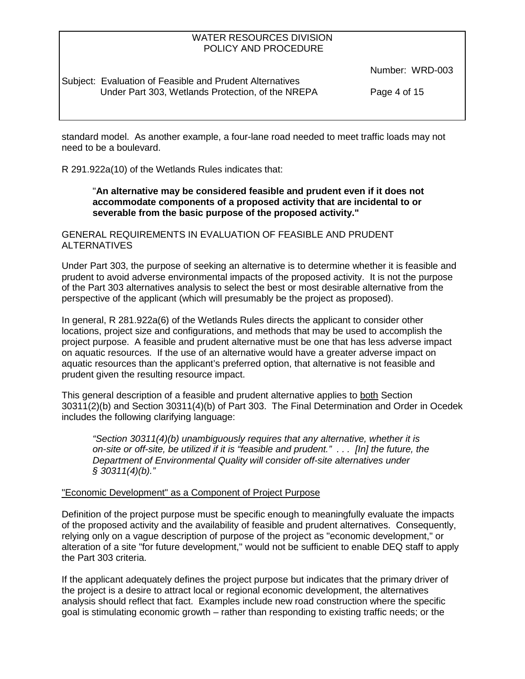Subject: Evaluation of Feasible and Prudent Alternatives Under Part 303, Wetlands Protection, of the NREPA Page 4 of 15

Number: WRD-003

standard model. As another example, a four-lane road needed to meet traffic loads may not need to be a boulevard.

R 291.922a(10) of the Wetlands Rules indicates that:

# "**An alternative may be considered feasible and prudent even if it does not accommodate components of a proposed activity that are incidental to or severable from the basic purpose of the proposed activity."**

GENERAL REQUIREMENTS IN EVALUATION OF FEASIBLE AND PRUDENT ALTERNATIVES

Under Part 303, the purpose of seeking an alternative is to determine whether it is feasible and prudent to avoid adverse environmental impacts of the proposed activity. It is not the purpose of the Part 303 alternatives analysis to select the best or most desirable alternative from the perspective of the applicant (which will presumably be the project as proposed).

In general, R 281.922a(6) of the Wetlands Rules directs the applicant to consider other locations, project size and configurations, and methods that may be used to accomplish the project purpose. A feasible and prudent alternative must be one that has less adverse impact on aquatic resources. If the use of an alternative would have a greater adverse impact on aquatic resources than the applicant's preferred option, that alternative is not feasible and prudent given the resulting resource impact.

This general description of a feasible and prudent alternative applies to both Section 30311(2)(b) and Section 30311(4)(b) of Part 303. The Final Determination and Order in Ocedek includes the following clarifying language:

*"Section 30311(4)(b) unambiguously requires that any alternative, whether it is on-site or off-site, be utilized if it is "feasible and prudent." . . . [In] the future, the Department of Environmental Quality will consider off-site alternatives under § 30311(4)(b)."*

# "Economic Development" as a Component of Project Purpose

Definition of the project purpose must be specific enough to meaningfully evaluate the impacts of the proposed activity and the availability of feasible and prudent alternatives. Consequently, relying only on a vague description of purpose of the project as "economic development," or alteration of a site "for future development," would not be sufficient to enable DEQ staff to apply the Part 303 criteria.

If the applicant adequately defines the project purpose but indicates that the primary driver of the project is a desire to attract local or regional economic development, the alternatives analysis should reflect that fact. Examples include new road construction where the specific goal is stimulating economic growth – rather than responding to existing traffic needs; or the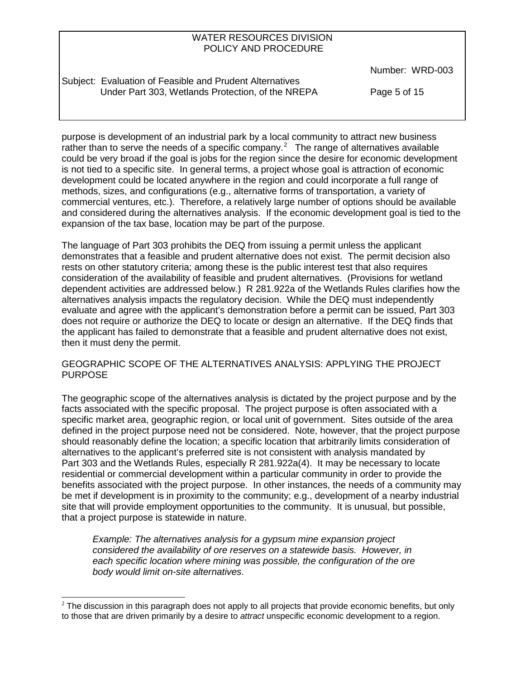Subject: Evaluation of Feasible and Prudent Alternatives Under Part 303, Wetlands Protection, of the NREPA Page 5 of 15

Number: WRD-003

purpose is development of an industrial park by a local community to attract new business rather than to serve the needs of a specific company.<sup>[2](#page-0-1)</sup> The range of alternatives available could be very broad if the goal is jobs for the region since the desire for economic development is not tied to a specific site. In general terms, a project whose goal is attraction of economic development could be located anywhere in the region and could incorporate a full range of methods, sizes, and configurations (e.g., alternative forms of transportation, a variety of commercial ventures, etc.). Therefore, a relatively large number of options should be available and considered during the alternatives analysis. If the economic development goal is tied to the expansion of the tax base, location may be part of the purpose.

The language of Part 303 prohibits the DEQ from issuing a permit unless the applicant demonstrates that a feasible and prudent alternative does not exist. The permit decision also rests on other statutory criteria; among these is the public interest test that also requires consideration of the availability of feasible and prudent alternatives. (Provisions for wetland dependent activities are addressed below.) R 281.922a of the Wetlands Rules clarifies how the alternatives analysis impacts the regulatory decision. While the DEQ must independently evaluate and agree with the applicant's demonstration before a permit can be issued, Part 303 does not require or authorize the DEQ to locate or design an alternative. If the DEQ finds that the applicant has failed to demonstrate that a feasible and prudent alternative does not exist, then it must deny the permit.

# GEOGRAPHIC SCOPE OF THE ALTERNATIVES ANALYSIS: APPLYING THE PROJECT PURPOSE

The geographic scope of the alternatives analysis is dictated by the project purpose and by the facts associated with the specific proposal. The project purpose is often associated with a specific market area, geographic region, or local unit of government. Sites outside of the area defined in the project purpose need not be considered. Note, however, that the project purpose should reasonably define the location; a specific location that arbitrarily limits consideration of alternatives to the applicant's preferred site is not consistent with analysis mandated by Part 303 and the Wetlands Rules, especially R 281.922a(4). It may be necessary to locate residential or commercial development within a particular community in order to provide the benefits associated with the project purpose. In other instances, the needs of a community may be met if development is in proximity to the community; e.g., development of a nearby industrial site that will provide employment opportunities to the community. It is unusual, but possible, that a project purpose is statewide in nature.

*Example: The alternatives analysis for a gypsum mine expansion project considered the availability of ore reserves on a statewide basis. However, in each specific location where mining was possible, the configuration of the ore body would limit on-site alternatives*.

<span id="page-4-0"></span> $2$  The discussion in this paragraph does not apply to all projects that provide economic benefits, but only to those that are driven primarily by a desire to *attract* unspecific economic development to a region.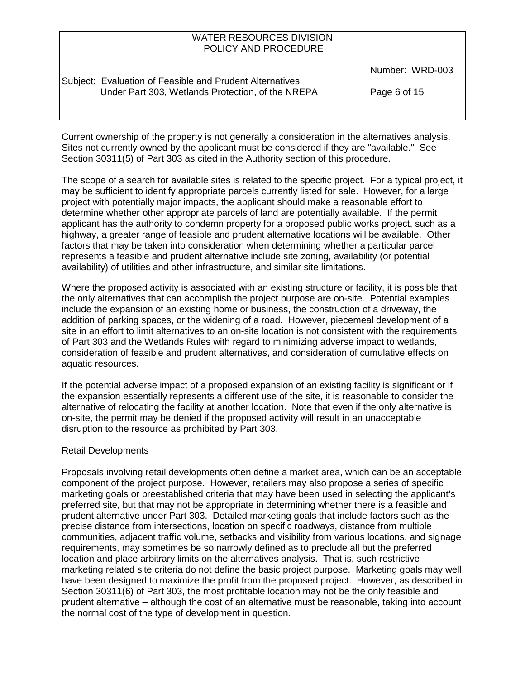Subject: Evaluation of Feasible and Prudent Alternatives Under Part 303, Wetlands Protection, of the NREPA Page 6 of 15

Number: WRD-003

Current ownership of the property is not generally a consideration in the alternatives analysis. Sites not currently owned by the applicant must be considered if they are "available." See Section 30311(5) of Part 303 as cited in the Authority section of this procedure.

The scope of a search for available sites is related to the specific project. For a typical project, it may be sufficient to identify appropriate parcels currently listed for sale. However, for a large project with potentially major impacts, the applicant should make a reasonable effort to determine whether other appropriate parcels of land are potentially available. If the permit applicant has the authority to condemn property for a proposed public works project, such as a highway, a greater range of feasible and prudent alternative locations will be available. Other factors that may be taken into consideration when determining whether a particular parcel represents a feasible and prudent alternative include site zoning, availability (or potential availability) of utilities and other infrastructure, and similar site limitations.

Where the proposed activity is associated with an existing structure or facility, it is possible that the only alternatives that can accomplish the project purpose are on-site. Potential examples include the expansion of an existing home or business, the construction of a driveway, the addition of parking spaces, or the widening of a road. However, piecemeal development of a site in an effort to limit alternatives to an on-site location is not consistent with the requirements of Part 303 and the Wetlands Rules with regard to minimizing adverse impact to wetlands, consideration of feasible and prudent alternatives, and consideration of cumulative effects on aquatic resources.

If the potential adverse impact of a proposed expansion of an existing facility is significant or if the expansion essentially represents a different use of the site, it is reasonable to consider the alternative of relocating the facility at another location. Note that even if the only alternative is on-site, the permit may be denied if the proposed activity will result in an unacceptable disruption to the resource as prohibited by Part 303.

# Retail Developments

Proposals involving retail developments often define a market area, which can be an acceptable component of the project purpose. However, retailers may also propose a series of specific marketing goals or preestablished criteria that may have been used in selecting the applicant's preferred site*,* but that may not be appropriate in determining whether there is a feasible and prudent alternative under Part 303. Detailed marketing goals that include factors such as the precise distance from intersections, location on specific roadways, distance from multiple communities, adjacent traffic volume, setbacks and visibility from various locations, and signage requirements, may sometimes be so narrowly defined as to preclude all but the preferred location and place arbitrary limits on the alternatives analysis. That is, such restrictive marketing related site criteria do not define the basic project purpose. Marketing goals may well have been designed to maximize the profit from the proposed project. However, as described in Section 30311(6) of Part 303, the most profitable location may not be the only feasible and prudent alternative – although the cost of an alternative must be reasonable, taking into account the normal cost of the type of development in question.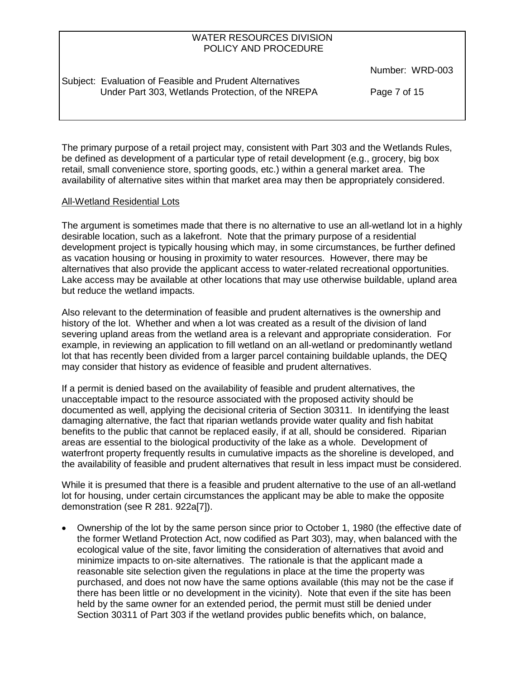Subject: Evaluation of Feasible and Prudent Alternatives Under Part 303, Wetlands Protection, of the NREPA Page 7 of 15

Number: WRD-003

The primary purpose of a retail project may, consistent with Part 303 and the Wetlands Rules, be defined as development of a particular type of retail development (e.g., grocery, big box retail, small convenience store, sporting goods, etc.) within a general market area. The availability of alternative sites within that market area may then be appropriately considered.

# All-Wetland Residential Lots

The argument is sometimes made that there is no alternative to use an all-wetland lot in a highly desirable location, such as a lakefront. Note that the primary purpose of a residential development project is typically housing which may, in some circumstances, be further defined as vacation housing or housing in proximity to water resources. However, there may be alternatives that also provide the applicant access to water-related recreational opportunities. Lake access may be available at other locations that may use otherwise buildable, upland area but reduce the wetland impacts.

Also relevant to the determination of feasible and prudent alternatives is the ownership and history of the lot. Whether and when a lot was created as a result of the division of land severing upland areas from the wetland area is a relevant and appropriate consideration. For example, in reviewing an application to fill wetland on an all-wetland or predominantly wetland lot that has recently been divided from a larger parcel containing buildable uplands, the DEQ may consider that history as evidence of feasible and prudent alternatives.

If a permit is denied based on the availability of feasible and prudent alternatives, the unacceptable impact to the resource associated with the proposed activity should be documented as well, applying the decisional criteria of Section 30311. In identifying the least damaging alternative, the fact that riparian wetlands provide water quality and fish habitat benefits to the public that cannot be replaced easily, if at all, should be considered. Riparian areas are essential to the biological productivity of the lake as a whole. Development of waterfront property frequently results in cumulative impacts as the shoreline is developed, and the availability of feasible and prudent alternatives that result in less impact must be considered.

While it is presumed that there is a feasible and prudent alternative to the use of an all-wetland lot for housing, under certain circumstances the applicant may be able to make the opposite demonstration (see R 281. 922a[7]).

• Ownership of the lot by the same person since prior to October 1, 1980 (the effective date of the former Wetland Protection Act, now codified as Part 303), may, when balanced with the ecological value of the site, favor limiting the consideration of alternatives that avoid and minimize impacts to on-site alternatives. The rationale is that the applicant made a reasonable site selection given the regulations in place at the time the property was purchased, and does not now have the same options available (this may not be the case if there has been little or no development in the vicinity). Note that even if the site has been held by the same owner for an extended period, the permit must still be denied under Section 30311 of Part 303 if the wetland provides public benefits which, on balance,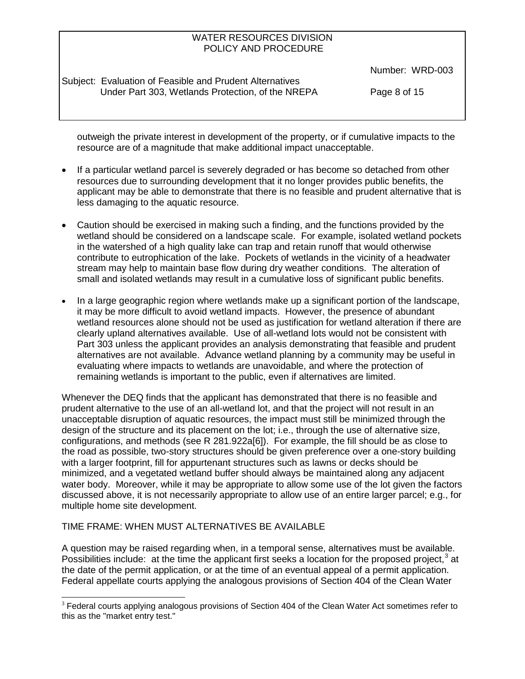Subject: Evaluation of Feasible and Prudent Alternatives Under Part 303, Wetlands Protection, of the NREPA Page 8 of 15

Number: WRD-003

outweigh the private interest in development of the property, or if cumulative impacts to the resource are of a magnitude that make additional impact unacceptable.

- If a particular wetland parcel is severely degraded or has become so detached from other resources due to surrounding development that it no longer provides public benefits, the applicant may be able to demonstrate that there is no feasible and prudent alternative that is less damaging to the aquatic resource.
- Caution should be exercised in making such a finding, and the functions provided by the wetland should be considered on a landscape scale. For example, isolated wetland pockets in the watershed of a high quality lake can trap and retain runoff that would otherwise contribute to eutrophication of the lake. Pockets of wetlands in the vicinity of a headwater stream may help to maintain base flow during dry weather conditions. The alteration of small and isolated wetlands may result in a cumulative loss of significant public benefits.
- In a large geographic region where wetlands make up a significant portion of the landscape, it may be more difficult to avoid wetland impacts. However, the presence of abundant wetland resources alone should not be used as justification for wetland alteration if there are clearly upland alternatives available. Use of all-wetland lots would not be consistent with Part 303 unless the applicant provides an analysis demonstrating that feasible and prudent alternatives are not available. Advance wetland planning by a community may be useful in evaluating where impacts to wetlands are unavoidable, and where the protection of remaining wetlands is important to the public, even if alternatives are limited.

Whenever the DEQ finds that the applicant has demonstrated that there is no feasible and prudent alternative to the use of an all-wetland lot, and that the project will not result in an unacceptable disruption of aquatic resources, the impact must still be minimized through the design of the structure and its placement on the lot; i.e., through the use of alternative size, configurations, and methods (see R 281.922a[6]). For example, the fill should be as close to the road as possible, two-story structures should be given preference over a one-story building with a larger footprint, fill for appurtenant structures such as lawns or decks should be minimized, and a vegetated wetland buffer should always be maintained along any adjacent water body. Moreover, while it may be appropriate to allow some use of the lot given the factors discussed above, it is not necessarily appropriate to allow use of an entire larger parcel; e.g., for multiple home site development.

# <span id="page-7-0"></span>TIME FRAME: WHEN MUST ALTERNATIVES BE AVAILABLE

A question may be raised regarding when, in a temporal sense, alternatives must be available. Possibilities include: at the time the applicant first seeks a location for the proposed project,  $3$  at the date of the permit application, or at the time of an eventual appeal of a permit application. Federal appellate courts applying the analogous provisions of Section 404 of the Clean Water

 $3$  Federal courts applying analogous provisions of Section 404 of the Clean Water Act sometimes refer to this as the "market entry test."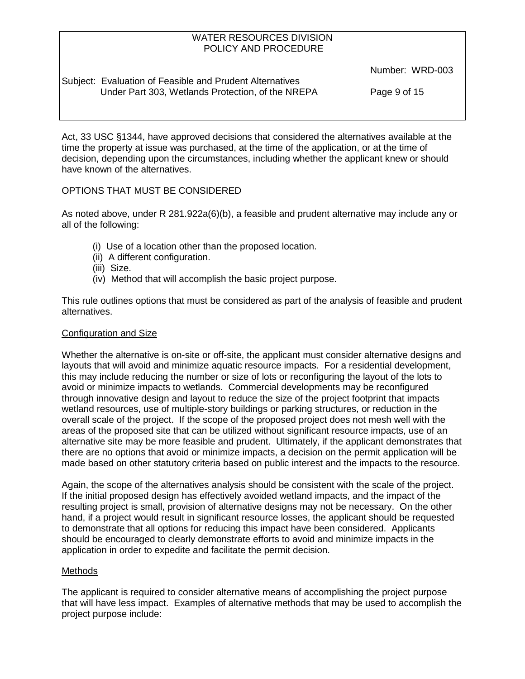Subject: Evaluation of Feasible and Prudent Alternatives Under Part 303, Wetlands Protection, of the NREPA Page 9 of 15

Number: WRD-003

Act, 33 USC §1344, have approved decisions that considered the alternatives available at the time the property at issue was purchased, at the time of the application, or at the time of decision, depending upon the circumstances, including whether the applicant knew or should have known of the alternatives.

# OPTIONS THAT MUST BE CONSIDERED

As noted above, under R 281.922a(6)(b), a feasible and prudent alternative may include any or all of the following:

- (i) Use of a location other than the proposed location.
- (ii) A different configuration.
- (iii) Size.
- (iv) Method that will accomplish the basic project purpose.

This rule outlines options that must be considered as part of the analysis of feasible and prudent alternatives.

#### Configuration and Size

Whether the alternative is on-site or off-site, the applicant must consider alternative designs and layouts that will avoid and minimize aquatic resource impacts. For a residential development, this may include reducing the number or size of lots or reconfiguring the layout of the lots to avoid or minimize impacts to wetlands. Commercial developments may be reconfigured through innovative design and layout to reduce the size of the project footprint that impacts wetland resources, use of multiple-story buildings or parking structures, or reduction in the overall scale of the project. If the scope of the proposed project does not mesh well with the areas of the proposed site that can be utilized without significant resource impacts, use of an alternative site may be more feasible and prudent. Ultimately, if the applicant demonstrates that there are no options that avoid or minimize impacts, a decision on the permit application will be made based on other statutory criteria based on public interest and the impacts to the resource.

Again, the scope of the alternatives analysis should be consistent with the scale of the project. If the initial proposed design has effectively avoided wetland impacts, and the impact of the resulting project is small, provision of alternative designs may not be necessary. On the other hand, if a project would result in significant resource losses, the applicant should be requested to demonstrate that all options for reducing this impact have been considered. Applicants should be encouraged to clearly demonstrate efforts to avoid and minimize impacts in the application in order to expedite and facilitate the permit decision.

# **Methods**

The applicant is required to consider alternative means of accomplishing the project purpose that will have less impact. Examples of alternative methods that may be used to accomplish the project purpose include: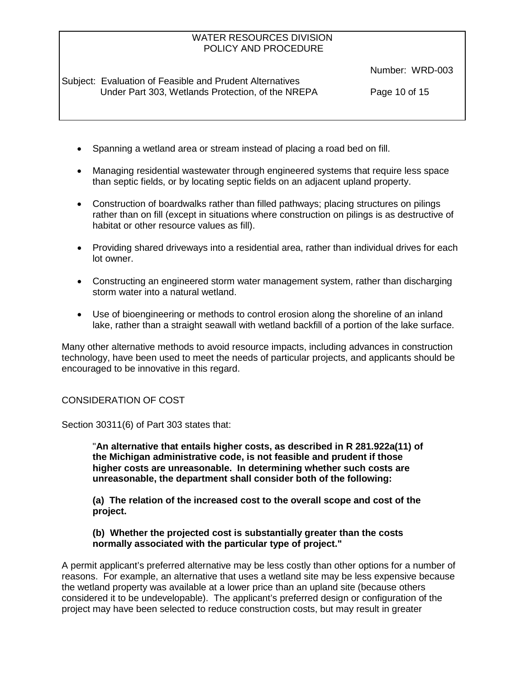Subject: Evaluation of Feasible and Prudent Alternatives Under Part 303, Wetlands Protection, of the NREPA Page 10 of 15

Number: WRD-003

- Spanning a wetland area or stream instead of placing a road bed on fill.
- Managing residential wastewater through engineered systems that require less space than septic fields, or by locating septic fields on an adjacent upland property.
- Construction of boardwalks rather than filled pathways; placing structures on pilings rather than on fill (except in situations where construction on pilings is as destructive of habitat or other resource values as fill).
- Providing shared driveways into a residential area, rather than individual drives for each lot owner.
- Constructing an engineered storm water management system, rather than discharging storm water into a natural wetland.
- Use of bioengineering or methods to control erosion along the shoreline of an inland lake, rather than a straight seawall with wetland backfill of a portion of the lake surface.

Many other alternative methods to avoid resource impacts, including advances in construction technology, have been used to meet the needs of particular projects, and applicants should be encouraged to be innovative in this regard.

CONSIDERATION OF COST

Section 30311(6) of Part 303 states that:

"**An alternative that entails higher costs, as described in R 281.922a(11) of the Michigan administrative code, is not feasible and prudent if those higher costs are unreasonable. In determining whether such costs are unreasonable, the department shall consider both of the following:**

**(a) The relation of the increased cost to the overall scope and cost of the project.**

#### **(b) Whether the projected cost is substantially greater than the costs normally associated with the particular type of project."**

A permit applicant's preferred alternative may be less costly than other options for a number of reasons. For example, an alternative that uses a wetland site may be less expensive because the wetland property was available at a lower price than an upland site (because others considered it to be undevelopable). The applicant's preferred design or configuration of the project may have been selected to reduce construction costs, but may result in greater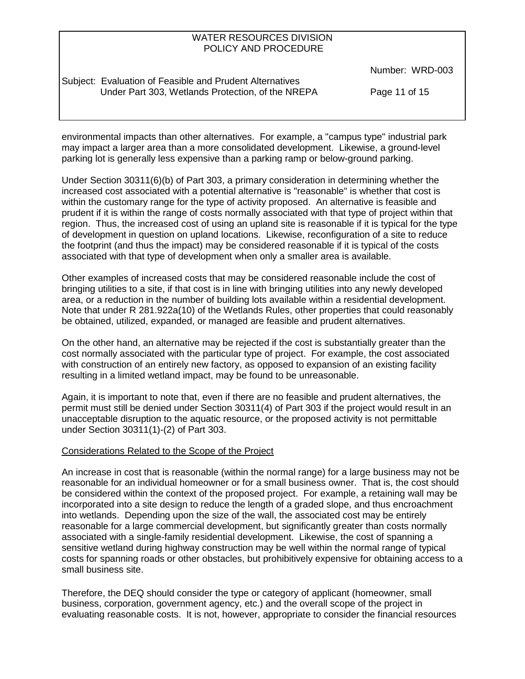Subject: Evaluation of Feasible and Prudent Alternatives Under Part 303, Wetlands Protection, of the NREPA Page 11 of 15

Number: WRD-003

environmental impacts than other alternatives. For example, a "campus type" industrial park may impact a larger area than a more consolidated development. Likewise, a ground-level parking lot is generally less expensive than a parking ramp or below-ground parking.

Under Section 30311(6)(b) of Part 303, a primary consideration in determining whether the increased cost associated with a potential alternative is "reasonable" is whether that cost is within the customary range for the type of activity proposed. An alternative is feasible and prudent if it is within the range of costs normally associated with that type of project within that region. Thus, the increased cost of using an upland site is reasonable if it is typical for the type of development in question on upland locations. Likewise, reconfiguration of a site to reduce the footprint (and thus the impact) may be considered reasonable if it is typical of the costs associated with that type of development when only a smaller area is available.

Other examples of increased costs that may be considered reasonable include the cost of bringing utilities to a site, if that cost is in line with bringing utilities into any newly developed area, or a reduction in the number of building lots available within a residential development. Note that under R 281.922a(10) of the Wetlands Rules, other properties that could reasonably be obtained, utilized, expanded, or managed are feasible and prudent alternatives.

On the other hand, an alternative may be rejected if the cost is substantially greater than the cost normally associated with the particular type of project. For example, the cost associated with construction of an entirely new factory, as opposed to expansion of an existing facility resulting in a limited wetland impact, may be found to be unreasonable.

Again, it is important to note that, even if there are no feasible and prudent alternatives, the permit must still be denied under Section 30311(4) of Part 303 if the project would result in an unacceptable disruption to the aquatic resource, or the proposed activity is not permittable under Section 30311(1)-(2) of Part 303.

#### Considerations Related to the Scope of the Project

An increase in cost that is reasonable (within the normal range) for a large business may not be reasonable for an individual homeowner or for a small business owner. That is, the cost should be considered within the context of the proposed project. For example, a retaining wall may be incorporated into a site design to reduce the length of a graded slope, and thus encroachment into wetlands. Depending upon the size of the wall, the associated cost may be entirely reasonable for a large commercial development, but significantly greater than costs normally associated with a single-family residential development. Likewise, the cost of spanning a sensitive wetland during highway construction may be well within the normal range of typical costs for spanning roads or other obstacles, but prohibitively expensive for obtaining access to a small business site.

Therefore, the DEQ should consider the type or category of applicant (homeowner, small business, corporation, government agency, etc.) and the overall scope of the project in evaluating reasonable costs. It is not, however, appropriate to consider the financial resources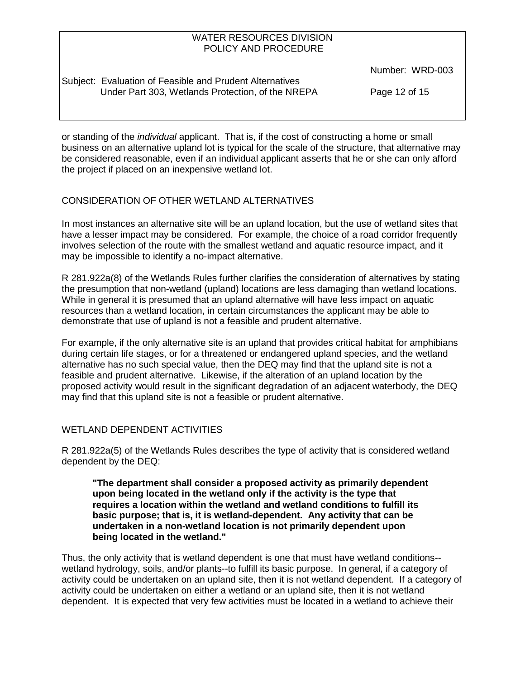Number: WRD-003

Subject: Evaluation of Feasible and Prudent Alternatives Under Part 303, Wetlands Protection, of the NREPA Page 12 of 15

or standing of the *individual* applicant. That is, if the cost of constructing a home or small business on an alternative upland lot is typical for the scale of the structure, that alternative may be considered reasonable, even if an individual applicant asserts that he or she can only afford the project if placed on an inexpensive wetland lot.

# CONSIDERATION OF OTHER WETLAND ALTERNATIVES

In most instances an alternative site will be an upland location, but the use of wetland sites that have a lesser impact may be considered. For example, the choice of a road corridor frequently involves selection of the route with the smallest wetland and aquatic resource impact, and it may be impossible to identify a no-impact alternative.

R 281.922a(8) of the Wetlands Rules further clarifies the consideration of alternatives by stating the presumption that non-wetland (upland) locations are less damaging than wetland locations. While in general it is presumed that an upland alternative will have less impact on aquatic resources than a wetland location, in certain circumstances the applicant may be able to demonstrate that use of upland is not a feasible and prudent alternative.

For example, if the only alternative site is an upland that provides critical habitat for amphibians during certain life stages, or for a threatened or endangered upland species, and the wetland alternative has no such special value, then the DEQ may find that the upland site is not a feasible and prudent alternative. Likewise, if the alteration of an upland location by the proposed activity would result in the significant degradation of an adjacent waterbody, the DEQ may find that this upland site is not a feasible or prudent alternative.

# WETLAND DEPENDENT ACTIVITIES

R 281.922a(5) of the Wetlands Rules describes the type of activity that is considered wetland dependent by the DEQ:

**"The department shall consider a proposed activity as primarily dependent upon being located in the wetland only if the activity is the type that requires a location within the wetland and wetland conditions to fulfill its basic purpose; that is, it is wetland-dependent. Any activity that can be undertaken in a non-wetland location is not primarily dependent upon being located in the wetland."**

Thus, the only activity that is wetland dependent is one that must have wetland conditions- wetland hydrology, soils, and/or plants--to fulfill its basic purpose. In general, if a category of activity could be undertaken on an upland site, then it is not wetland dependent. If a category of activity could be undertaken on either a wetland or an upland site, then it is not wetland dependent. It is expected that very few activities must be located in a wetland to achieve their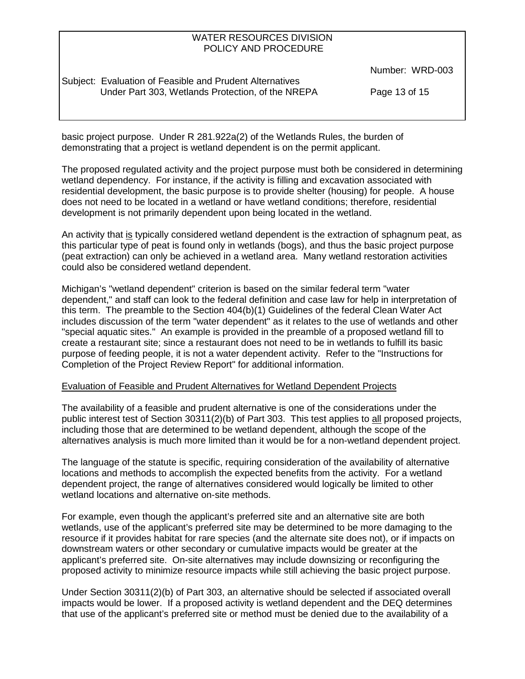Subject: Evaluation of Feasible and Prudent Alternatives Under Part 303, Wetlands Protection, of the NREPA Page 13 of 15

Number: WRD-003

basic project purpose. Under R 281.922a(2) of the Wetlands Rules, the burden of demonstrating that a project is wetland dependent is on the permit applicant.

The proposed regulated activity and the project purpose must both be considered in determining wetland dependency. For instance, if the activity is filling and excavation associated with residential development, the basic purpose is to provide shelter (housing) for people. A house does not need to be located in a wetland or have wetland conditions; therefore, residential development is not primarily dependent upon being located in the wetland.

An activity that is typically considered wetland dependent is the extraction of sphagnum peat, as this particular type of peat is found only in wetlands (bogs), and thus the basic project purpose (peat extraction) can only be achieved in a wetland area. Many wetland restoration activities could also be considered wetland dependent.

Michigan's "wetland dependent" criterion is based on the similar federal term "water dependent," and staff can look to the federal definition and case law for help in interpretation of this term. The preamble to the Section 404(b)(1) Guidelines of the federal Clean Water Act includes discussion of the term "water dependent" as it relates to the use of wetlands and other "special aquatic sites." An example is provided in the preamble of a proposed wetland fill to create a restaurant site; since a restaurant does not need to be in wetlands to fulfill its basic purpose of feeding people, it is not a water dependent activity. Refer to the "Instructions for Completion of the Project Review Report" for additional information.

#### Evaluation of Feasible and Prudent Alternatives for Wetland Dependent Projects

The availability of a feasible and prudent alternative is one of the considerations under the public interest test of Section 30311(2)(b) of Part 303. This test applies to all proposed projects, including those that are determined to be wetland dependent, although the scope of the alternatives analysis is much more limited than it would be for a non-wetland dependent project.

The language of the statute is specific, requiring consideration of the availability of alternative locations and methods to accomplish the expected benefits from the activity. For a wetland dependent project, the range of alternatives considered would logically be limited to other wetland locations and alternative on-site methods.

For example, even though the applicant's preferred site and an alternative site are both wetlands, use of the applicant's preferred site may be determined to be more damaging to the resource if it provides habitat for rare species (and the alternate site does not), or if impacts on downstream waters or other secondary or cumulative impacts would be greater at the applicant's preferred site. On-site alternatives may include downsizing or reconfiguring the proposed activity to minimize resource impacts while still achieving the basic project purpose.

Under Section 30311(2)(b) of Part 303, an alternative should be selected if associated overall impacts would be lower. If a proposed activity is wetland dependent and the DEQ determines that use of the applicant's preferred site or method must be denied due to the availability of a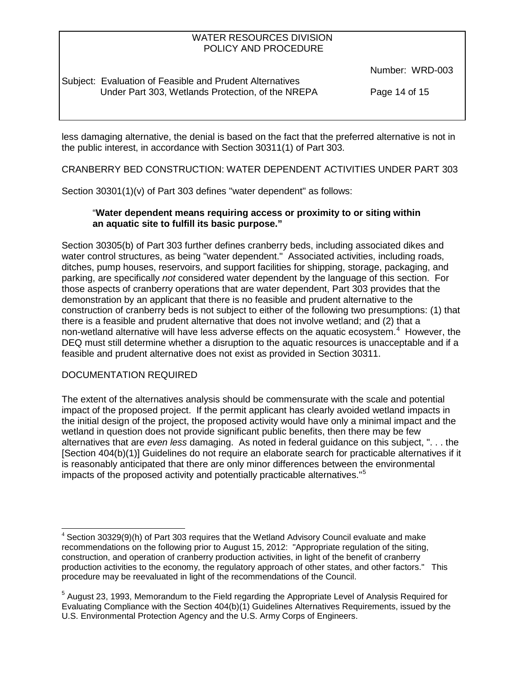Subject: Evaluation of Feasible and Prudent Alternatives Under Part 303, Wetlands Protection, of the NREPA Page 14 of 15

Number: WRD-003

less damaging alternative, the denial is based on the fact that the preferred alternative is not in the public interest, in accordance with Section 30311(1) of Part 303.

CRANBERRY BED CONSTRUCTION: WATER DEPENDENT ACTIVITIES UNDER PART 303

Section 30301(1)(v) of Part 303 defines "water dependent" as follows:

# "**Water dependent means requiring access or proximity to or siting within an aquatic site to fulfill its basic purpose."**

Section 30305(b) of Part 303 further defines cranberry beds, including associated dikes and water control structures, as being "water dependent." Associated activities, including roads, ditches, pump houses, reservoirs, and support facilities for shipping, storage, packaging, and parking, are specifically *not* considered water dependent by the language of this section. For those aspects of cranberry operations that are water dependent, Part 303 provides that the demonstration by an applicant that there is no feasible and prudent alternative to the construction of cranberry beds is not subject to either of the following two presumptions: (1) that there is a feasible and prudent alternative that does not involve wetland; and (2) that a non-wetland alternative will have less adverse effects on the aquatic ecosystem. $4$  However, the DEQ must still determine whether a disruption to the aquatic resources is unacceptable and if a feasible and prudent alternative does not exist as provided in Section 30311.

# DOCUMENTATION REQUIRED

The extent of the alternatives analysis should be commensurate with the scale and potential impact of the proposed project. If the permit applicant has clearly avoided wetland impacts in the initial design of the project, the proposed activity would have only a minimal impact and the wetland in question does not provide significant public benefits, then there may be few alternatives that are *even less* damaging. As noted in federal guidance on this subject, ". . . the [Section 404(b)(1)] Guidelines do not require an elaborate search for practicable alternatives if it is reasonably anticipated that there are only minor differences between the environmental impacts of the proposed activity and potentially practicable alternatives."[5](#page-13-0)

 $4$  Section 30329(9)(h) of Part 303 requires that the Wetland Advisory Council evaluate and make recommendations on the following prior to August 15, 2012: "Appropriate regulation of the siting, construction, and operation of cranberry production activities, in light of the benefit of cranberry production activities to the economy, the regulatory approach of other states, and other factors." This procedure may be reevaluated in light of the recommendations of the Council.

<span id="page-13-0"></span> $<sup>5</sup>$  August 23, 1993, Memorandum to the Field regarding the Appropriate Level of Analysis Required for</sup> Evaluating Compliance with the Section 404(b)(1) Guidelines Alternatives Requirements, issued by the U.S. Environmental Protection Agency and the U.S. Army Corps of Engineers.